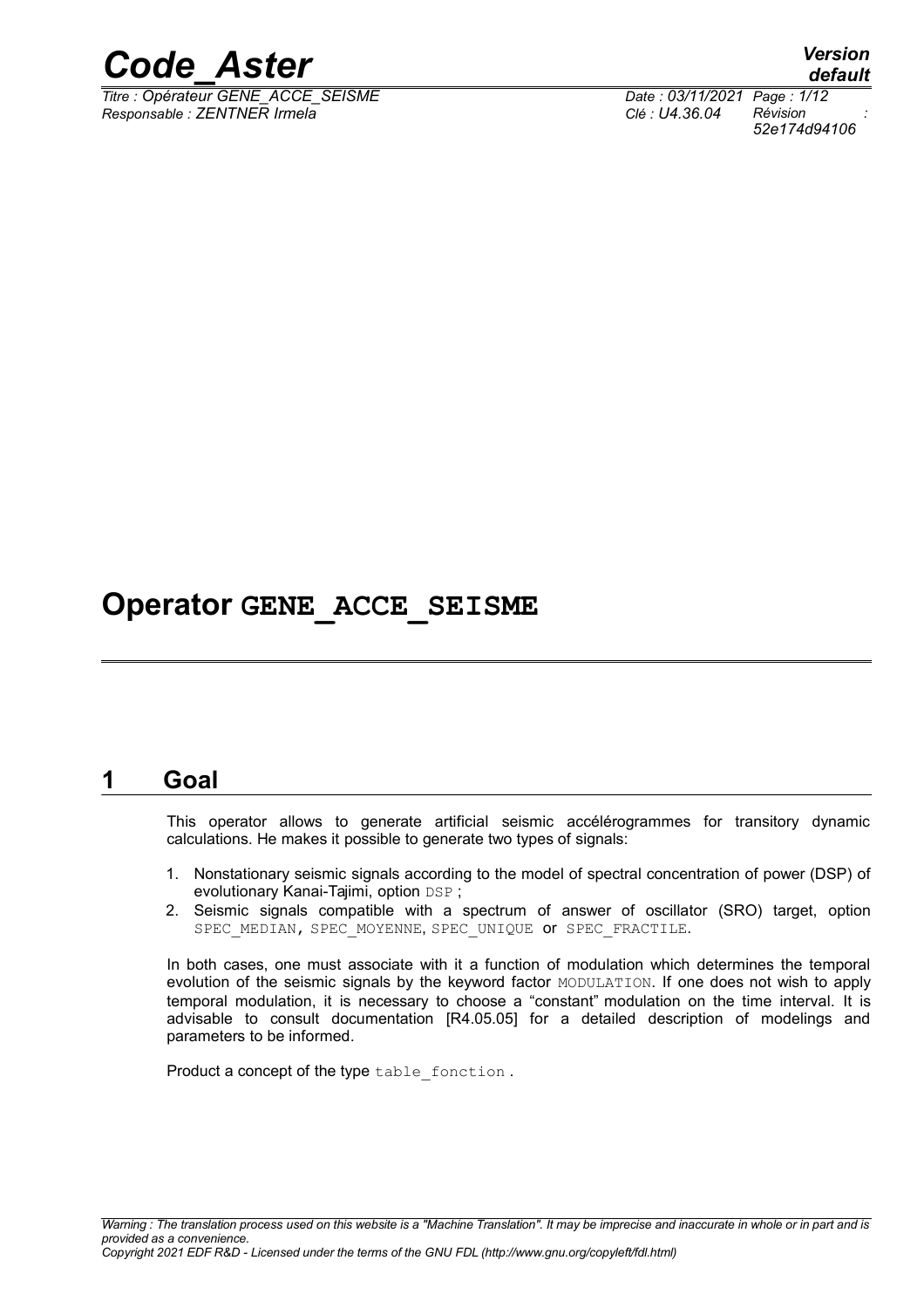

*Titre : Opérateur GENE\_ACCE\_SEISME Date : 03/11/2021 Page : 1/12 Responsable : ZENTNER Irmela Clé : U4.36.04 Révision :*

*default 52e174d94106*

## **Operator GENE\_ACCE\_SEISME**

## **1 Goal**

This operator allows to generate artificial seismic accélérogrammes for transitory dynamic calculations. He makes it possible to generate two types of signals:

- 1. Nonstationary seismic signals according to the model of spectral concentration of power (DSP) of evolutionary Kanai-Tajimi, option DSP ;
- 2. Seismic signals compatible with a spectrum of answer of oscillator (SRO) target, option SPEC\_MEDIAN, SPEC\_MOYENNE, SPEC\_UNIQUE OF SPEC\_FRACTILE.

In both cases, one must associate with it a function of modulation which determines the temporal evolution of the seismic signals by the keyword factor MODULATION. If one does not wish to apply temporal modulation, it is necessary to choose a "constant" modulation on the time interval. It is advisable to consult documentation [R4.05.05] for a detailed description of modelings and parameters to be informed.

Product a concept of the type table fonction.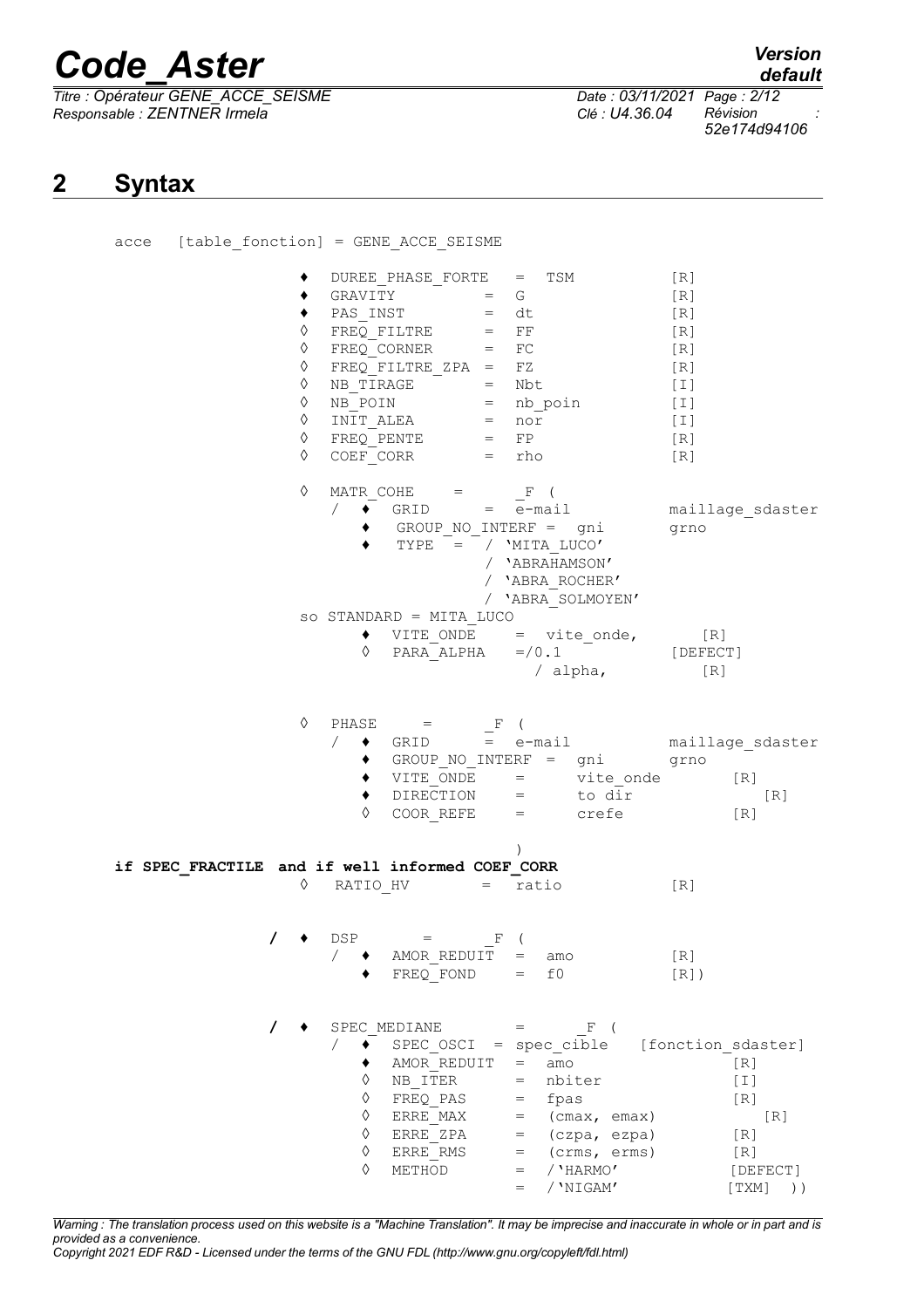*Titre : Opérateur GENE\_ACCE\_SEISME Date : 03/11/2021 Page : 2/12 Responsable : ZENTNER Irmela Clé : U4.36.04 Révision :*

*52e174d94106*

## **2 Syntax**

|  |            |                            | acce [table fonction] = GENE ACCE SEISME                                                                                                                                                                                                                                                                                                                                                                                                              |                                                                                    |                                                                                                                                                         |                                                                                 |                                                                        |
|--|------------|----------------------------|-------------------------------------------------------------------------------------------------------------------------------------------------------------------------------------------------------------------------------------------------------------------------------------------------------------------------------------------------------------------------------------------------------------------------------------------------------|------------------------------------------------------------------------------------|---------------------------------------------------------------------------------------------------------------------------------------------------------|---------------------------------------------------------------------------------|------------------------------------------------------------------------|
|  | $\Diamond$ | $\bullet$ PAS_INST         | DUREE PHASE FORTE = TSM<br>$\begin{array}{lll} \text{DORDE} & \text{PINST} \\ \text{GRAVITY} & = & \text{G} \\ \text{PAS} \text{INST} & = & \text{d}t \\ & & & - & - & \text{FF} \\ \end{array}$<br>↓ FREQ_FILTRE = FF<br>↓ FREQ_CORNER = FC<br>↓ FREQ_CORNER = FC<br>↓ FREQ_FILTRE_ZPA = FZ<br>↓ NB_TIRAGE = Nbt<br>↓ NB_POIN = nb_poin<br>↓ NH_POIN = nb_poin<br>↓ NHT_ALEA = nor<br>↓ FREQ_PENTE = FP<br>↑ COFF_CORR = TP<br>$COEF$ $CORR$ = $rho$ |                                                                                    |                                                                                                                                                         | [R]<br>[R]<br>[R]<br>[R]<br>[R]<br>[R]<br>$[1]$<br>$[1]$<br>$[1]$<br>[R]<br>[R] |                                                                        |
|  | ♦          | $\sqrt{2}$                 | MATR COHE = $_F$ (<br>$\bullet$ GRID = e-mail<br>GROUP NO INTERF = gni<br>TYPE = / $'$ MITA_LUCO'                                                                                                                                                                                                                                                                                                                                                     | / 'ABRAHAMSON'<br>/ 'ABRA ROCHER'                                                  | / 'ABRA SOLMOYEN'                                                                                                                                       | grno                                                                            | maillage_sdaster                                                       |
|  |            | ♦                          | so STANDARD = MITA_LUCO                                                                                                                                                                                                                                                                                                                                                                                                                               |                                                                                    | $\bullet$ VITE_ONDE = vite_onde, [R]<br>PARA ALPHA $= / 0.1$ [DEFECT]<br>/ alpha, [R]                                                                   |                                                                                 |                                                                        |
|  |            | ♦                          | $\Diamond$ PHASE =<br>$COOR$ REFE = $crefe$                                                                                                                                                                                                                                                                                                                                                                                                           | $F$ (                                                                              | ◆ GRID = e-mail maillage_sdaster<br>→ GROUP_NO_INTERF = gni grno<br>→ VITE_ONDE = vite_onde<br>→ DIRECTION = to dir                                     |                                                                                 | [R]<br>[R]<br>[R]                                                      |
|  | ♦          |                            | if SPEC FRACTILE and if well informed COEF CORR<br>RATIO HV                                                                                                                                                                                                                                                                                                                                                                                           | $\mathcal{L}$<br>ratio<br>$=$                                                      |                                                                                                                                                         | [R]                                                                             |                                                                        |
|  |            | DSP                        | $=$<br>AMOR REDUIT<br>FREQ FOND                                                                                                                                                                                                                                                                                                                                                                                                                       | F<br>$=$<br>f0<br>$=$                                                              | amo                                                                                                                                                     | [R]<br>$[R]$ )                                                                  |                                                                        |
|  | T          | ♦<br>♦<br>♦<br>♦<br>♦<br>♦ | SPEC MEDIANE<br>AMOR REDUIT<br>NB ITER<br>FREQ PAS<br>ERRE MAX<br>ERRE ZPA<br>ERRE RMS<br>METHOD                                                                                                                                                                                                                                                                                                                                                      | $=$<br>$=$<br>$=$<br>$=$<br>$=$<br>$=$<br>$=$<br>$\hspace{1.6cm} = \hspace{1.6cm}$ | $=$ F (<br>SPEC OSCI = spec cible [fonction sdaster]<br>amo<br>nbiter<br>fpas<br>(cmax, emax)<br>(czpa, ezpa)<br>(crms, erms)<br>/ 'HARMO'<br>/ 'NIGAM' |                                                                                 | [R]<br>$[1]$<br>[R]<br>[R]<br>[R]<br>[R]<br>[DEFECT]<br>[TXM]<br>$)$ ) |

*Warning : The translation process used on this website is a "Machine Translation". It may be imprecise and inaccurate in whole or in part and is provided as a convenience.*

*Copyright 2021 EDF R&D - Licensed under the terms of the GNU FDL (http://www.gnu.org/copyleft/fdl.html)*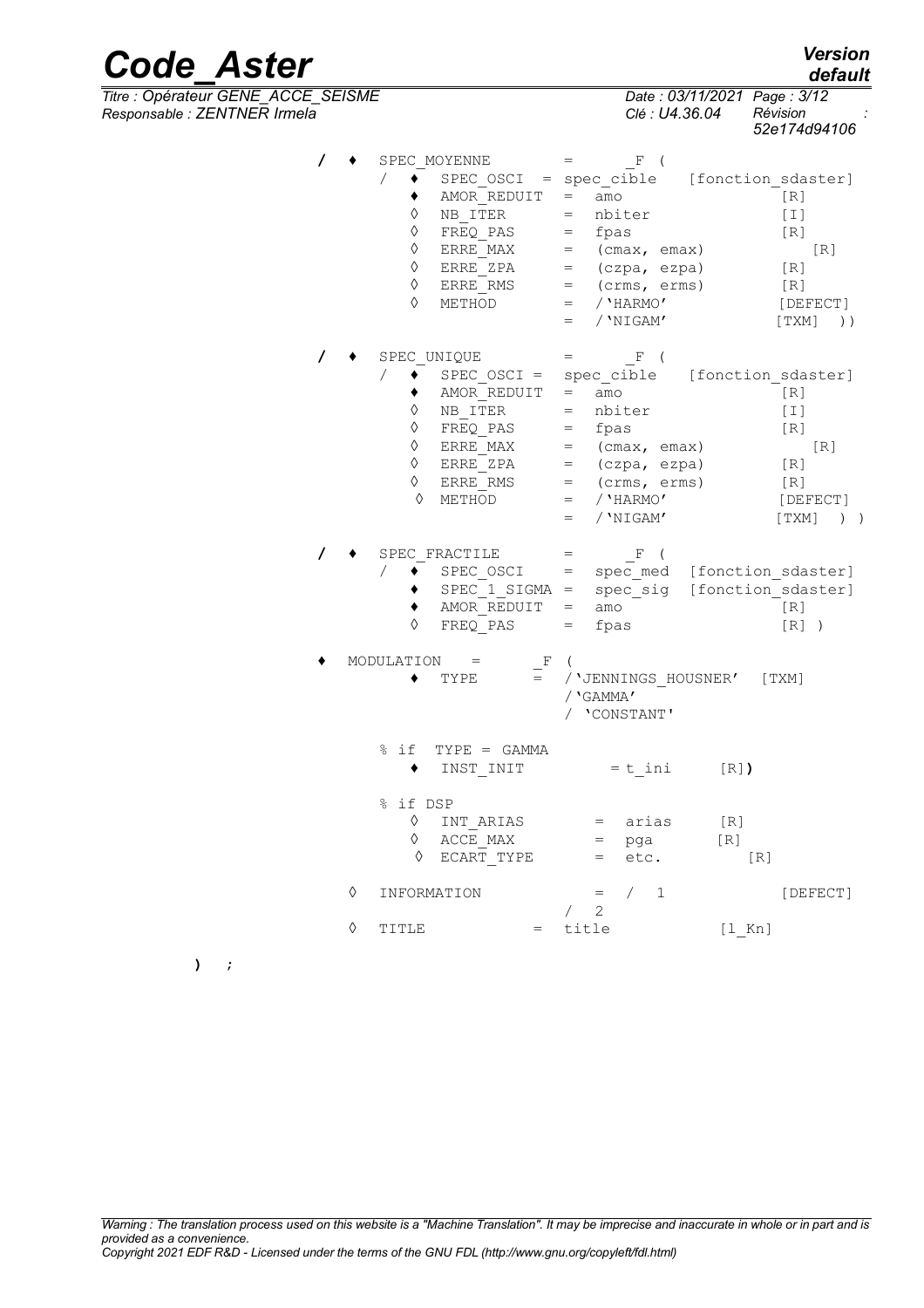| <b>Code Aster</b>                                                  |   |                                                                                                                                                       |                                                                                                                                                                                           | <b>Version</b><br>default                                                                    |
|--------------------------------------------------------------------|---|-------------------------------------------------------------------------------------------------------------------------------------------------------|-------------------------------------------------------------------------------------------------------------------------------------------------------------------------------------------|----------------------------------------------------------------------------------------------|
| Titre : Opérateur GENE_ACCE_SEISME<br>Responsable : ZENTNER Irmela |   |                                                                                                                                                       | Date: 03/11/2021 Page: 3/12<br>Clé : U4.36.04                                                                                                                                             | Révision<br>52e174d94106                                                                     |
|                                                                    |   | SPEC MOYENNE<br>$SPEC_OSCI = spec_cible$<br>AMOR REDUIT<br>NB ITER<br>♦<br>FREQ PAS<br>♦<br>ERRE MAX<br>♦<br>ERRE ZPA<br>♦<br>ERRE RMS<br>♦<br>METHOD | $=$<br>F<br>$=$<br>amo<br>nbiter<br>$=$<br>fpas<br>$=$<br>(cmax, emax)<br>$=$<br>$=$<br>(czpa, ezpa)<br>(crms, erms)<br>$=$<br>/ 'HARMO'<br>$=$<br>/ 'NIGAM'<br>$=$                       | [fonction sdaster]<br>[R]<br>$[1]$<br>[R]<br>[R]<br>[R]<br>[R]<br>[DEFECT]<br>$)$ )<br>[TXM] |
|                                                                    |   | SPEC UNIQUE<br>SPEC $OSCI =$<br>AMOR REDUIT<br>NB ITER<br>♦<br>FREQ PAS<br>♦<br>ERRE MAX<br>♦<br>ERRE ZPA<br>♦<br>ERRE RMS<br>♦<br>METHOD             | $\mathbf{F}$<br>$=$<br>spec_cible<br>$=$<br>amo<br>nbiter<br>$=$<br>fpas<br>$=$<br>(cmax, emax)<br>$=$<br>$=$ (czpa, ezpa)<br>$=$<br>(crms, erms)<br>/ 'HARMO'<br>$=$<br>/ 'NIGAM'<br>$=$ | [fonction sdaster]<br>[R]<br>[I]<br>[R]<br>[R]<br>[R]<br>[R]<br>[DEFECT]<br>[TXM]<br>$)$ )   |
|                                                                    |   | SPEC FRACTILE<br>SPEC OSCI<br>$SPEC 1 SIGMA =$<br>AMOR REDUIT<br>FREQ PAS                                                                             | $\mathbb{F}$<br>$=$<br>spec med [fonction sdaster]<br>$=$<br>spec sig<br>amo<br>$=$<br>fpas<br>$=$                                                                                        | [fonction sdaster]<br>[R]<br>$[R]$ )                                                         |
|                                                                    |   | MODULATION<br>F<br>TYPE                                                                                                                               | / 'JENNINGS HOUSNER'<br>/ 'GAMMA'<br>'CONSTANT'                                                                                                                                           | [TXM]                                                                                        |
|                                                                    |   | $TYPE = GAMMA$<br>% if<br>INST INIT<br>٠                                                                                                              | $= t$ ini<br>$[R]$ )                                                                                                                                                                      |                                                                                              |
|                                                                    |   | % if DSP<br>♦<br>INT ARIAS<br>ACCE MAX<br>♦<br>$\Diamond$ ECART TYPE                                                                                  | arias<br>[R]<br>$=$<br>[R]<br>pga<br>$=$<br>etc.<br>$=$                                                                                                                                   | [R]                                                                                          |
|                                                                    | ♦ | INFORMATION                                                                                                                                           | /1<br>$=$<br>$\begin{array}{cc} \begin{array}{cc} \end{array} \end{array}$                                                                                                                | [DEFECT]                                                                                     |
|                                                                    | ♦ | TITLE                                                                                                                                                 | $=$ title<br>$[1$ Kn]                                                                                                                                                                     |                                                                                              |

**) ;**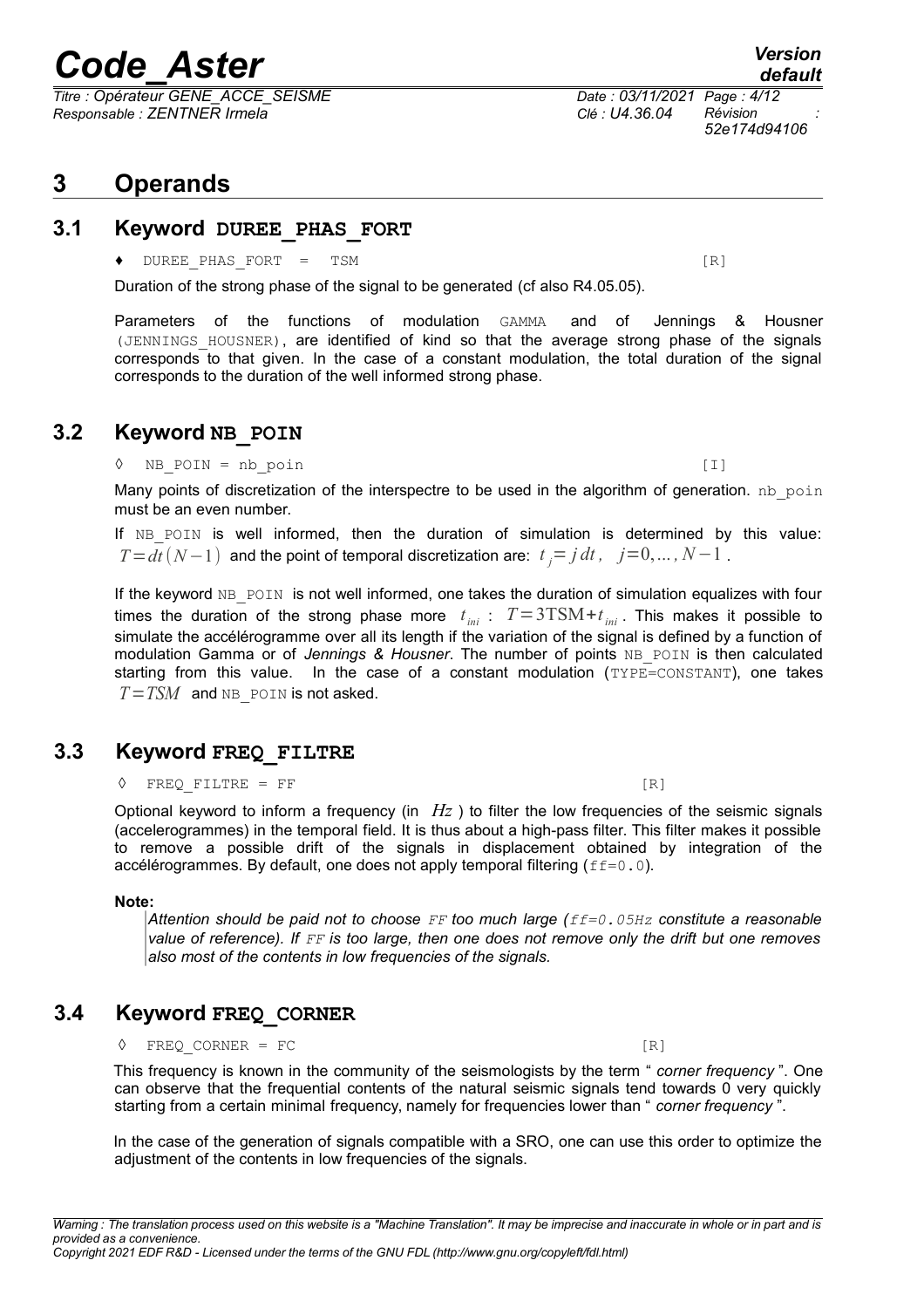*Titre : Opérateur GENE\_ACCE\_SEISME Date : 03/11/2021 Page : 4/12 Responsable : ZENTNER Irmela Clé : U4.36.04 Révision :*

## **3 Operands**

### **3.1 Keyword DUREE\_PHAS\_FORT**

#### ◆ DUREE PHAS FORT = TSM  $[R]$

Duration of the strong phase of the signal to be generated (cf also R4.05.05).

Parameters of the functions of modulation GAMMA and of Jennings & Housner (JENNINGS\_HOUSNER), are identified of kind so that the average strong phase of the signals corresponds to that given. In the case of a constant modulation, the total duration of the signal corresponds to the duration of the well informed strong phase.

### **3.2 Keyword NB\_POIN**

#### ◊ NB\_POIN = nb\_poin [I]

Many points of discretization of the interspectre to be used in the algorithm of generation.  $nb\_poin$ must be an even number.

If NB POIN is well informed, then the duration of simulation is determined by this value: *T* =  $dt$   $(N-1)$  and the point of temporal discretization are:  $t$ <sub>*j</sub>* = *j*  $dt$ *, j* = 0, ... *, N*−1 .</sub>

If the keyword NB POIN is not well informed, one takes the duration of simulation equalizes with four times the duration of the strong phase more  $t_{\text{ini}}$  :  $T = 3 \text{TSM} + t_{\text{ini}}$ . This makes it possible to simulate the accélérogramme over all its length if the variation of the signal is defined by a function of modulation Gamma or of *Jennings & Housner*. The number of points NB POIN is then calculated starting from this value. In the case of a constant modulation (TYPE=CONSTANT), one takes  $T = TSM$  and NB POIN is not asked.

## **3.3 Keyword FREQ\_FILTRE**

 $\Diamond$  FREO FILTRE = FF [R]

Optional keyword to inform a frequency (in *Hz* ) to filter the low frequencies of the seismic signals (accelerogrammes) in the temporal field. It is thus about a high-pass filter. This filter makes it possible to remove a possible drift of the signals in displacement obtained by integration of the accélérogrammes. By default, one does not apply temporal filtering  $(f f = 0.0)$ .

#### **Note:**

*Attention should be paid not to choose FF too much large (ff=0.05Hz constitute a reasonable value of reference). If FF is too large, then one does not remove only the drift but one removes also most of the contents in low frequencies of the signals.*

## **3.4 Keyword FREQ\_CORNER**

 $\Diamond$  FREQ CORNER = FC [R]

This frequency is known in the community of the seismologists by the term " *corner frequency* ". One can observe that the frequential contents of the natural seismic signals tend towards 0 very quickly starting from a certain minimal frequency, namely for frequencies lower than " *corner frequency* ".

In the case of the generation of signals compatible with a SRO, one can use this order to optimize the adjustment of the contents in low frequencies of the signals.

*52e174d94106*

*default*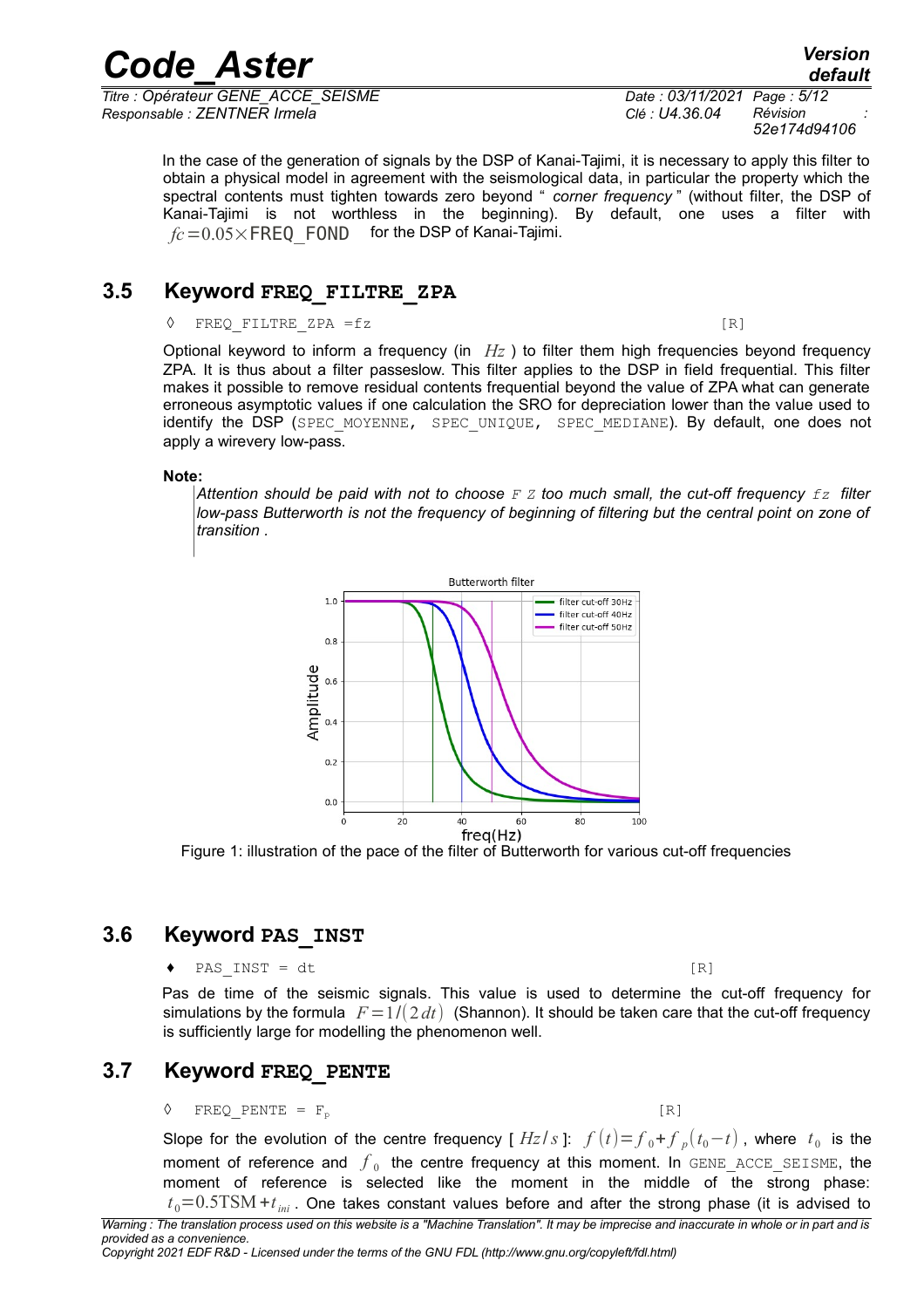*Titre : Opérateur GENE\_ACCE\_SEISME Date : 03/11/2021 Page : 5/12 Responsable : ZENTNER Irmela Clé : U4.36.04 Révision :*

*Code\_Aster Version default*

*52e174d94106*

In the case of the generation of signals by the DSP of Kanai-Tajimi, it is necessary to apply this filter to obtain a physical model in agreement with the seismological data, in particular the property which the spectral contents must tighten towards zero beyond " *corner frequency* " (without filter, the DSP of Kanai-Tajimi is not worthless in the beginning). By default, one uses a filter with  $fc = 0.05 \times \text{FREQ}$  FOND for the DSP of Kanai-Tajimi.

### **3.5 Keyword FREQ\_FILTRE\_ZPA**

#### $\Diamond$  FREQ FILTRE ZPA =fz [R]

Optional keyword to inform a frequency (in *Hz* ) to filter them high frequencies beyond frequency ZPA. It is thus about a filter passeslow. This filter applies to the DSP in field frequential. This filter makes it possible to remove residual contents frequential beyond the value of ZPA what can generate erroneous asymptotic values if one calculation the SRO for depreciation lower than the value used to identify the DSP (SPEC MOYENNE, SPEC UNIQUE, SPEC MEDIANE). By default, one does not apply a wirevery low-pass.

#### **Note:**

*Attention should be paid with not to choose F Z too much small, the cut-off frequency fz filter low-pass Butterworth is not the frequency of beginning of filtering but the central point on zone of transition .*



Figure 1: illustration of the pace of the filter of Butterworth for various cut-off frequencies

## **3.6 Keyword PAS\_INST**

<span id="page-4-0"></span> $\bullet$  PAS INST = dt [R]

Pas de time of the seismic signals. This value is used to determine the cut-off frequency for simulations by the formula  $F=1/(2 dt)$  (Shannon). It should be taken care that the cut-off frequency is sufficiently large for modelling the phenomenon well.

## **3.7 Keyword FREQ\_PENTE**

#### $\Diamond$  FREQ PENTE = F<sub>p</sub> [R]

Slope for the evolution of the centre frequency [  $Hz/s$  ]:  $f(t)=$   $f_0$  +  $f_{p}(t_0-t)$  , where  $t_0$  is the moment of reference and  $\,\overline{\!f}_{\,0}\,$  the centre frequency at this moment. In  $\tt{GENE\_ACE\_SELECT}\,$ moment of reference is selected like the moment in the middle of the strong phase:  $t_{\rm 0}{=}0.5{\rm TSM}$  +  $t_{\rm ini}$  . One takes constant values before and after the strong phase (it is advised to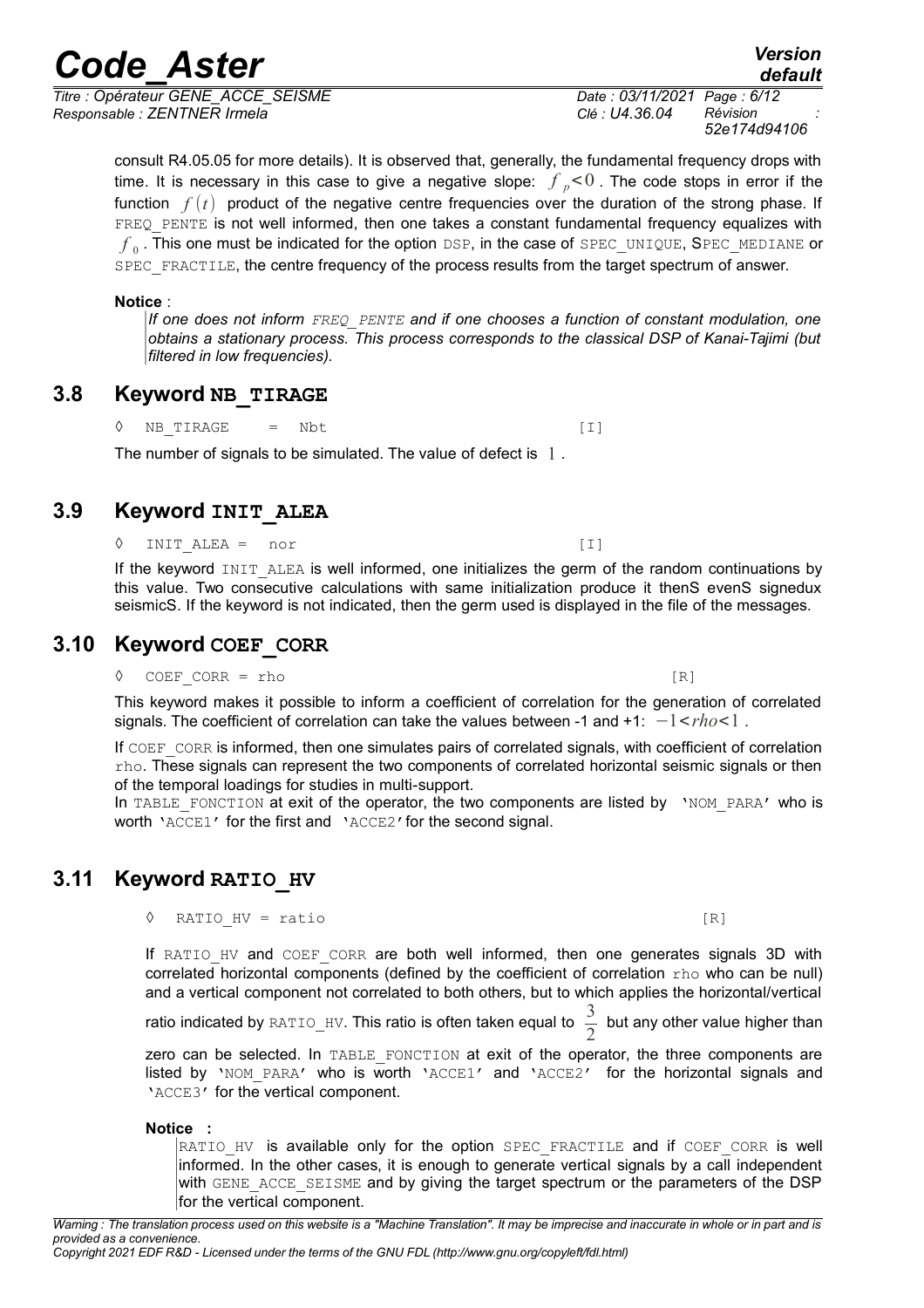*Titre : Opérateur GENE\_ACCE\_SEISME Date : 03/11/2021 Page : 6/12 Responsable : ZENTNER Irmela Clé : U4.36.04 Révision :*

*52e174d94106*

consult R4.05.05 for more details). It is observed that, generally, the fundamental frequency drops with time. It is necessary in this case to give a negative slope:  $f_p$ <0. The code stops in error if the function  $f(t)$  product of the negative centre frequencies over the duration of the strong phase. If FREQ PENTE is not well informed, then one takes a constant fundamental frequency equalizes with  $f_{\rm 0}$  . This one must be indicated for the option DSP, in the case of SPEC\_UNIQUE,  $\texttt{SPEC\_MEDIANE}$  or SPEC FRACTILE, the centre frequency of the process results from the target spectrum of answer.

#### **Notice** :

*If one does not inform FREQ\_PENTE and if one chooses a function of constant modulation, one obtains a stationary process. This process corresponds to the classical DSP of Kanai-Tajimi (but filtered in low frequencies).*

## **3.8 Keyword NB\_TIRAGE**

 $\Diamond$  NB TIRAGE = Nbt [I]

## The number of signals to be simulated. The value of defect is 1.

## **3.9 Keyword INIT\_ALEA**

INIT ALEA = nor [I]

If the keyword INIT ALEA is well informed, one initializes the germ of the random continuations by this value. Two consecutive calculations with same initialization produce it thenS evenS signedux seismicS. If the keyword is not indicated, then the germ used is displayed in the file of the messages.

## **3.10 Keyword COEF\_CORR**

 $COEF$   $CORR$  = rho  $[R]$ 

This keyword makes it possible to inform a coefficient of correlation for the generation of correlated signals. The coefficient of correlation can take the values between -1 and +1: −1<*rho*<1 .

If COEF CORR is informed, then one simulates pairs of correlated signals, with coefficient of correlation rho. These signals can represent the two components of correlated horizontal seismic signals or then of the temporal loadings for studies in multi-support.

In TABLE FONCTION at exit of the operator, the two components are listed by 'NOM PARA' who is worth 'ACCE1' for the first and 'ACCE2'for the second signal.

## **3.11 Keyword RATIO\_HV**

| ◊ RATIO HV = ratio | . |
|--------------------|---|
|                    |   |

If RATIO HV and COEF CORR are both well informed, then one generates signals 3D with correlated horizontal components (defined by the coefficient of correlation rho who can be null) and a vertical component not correlated to both others, but to which applies the horizontal/vertical

ratio indicated by RATIO HV. This ratio is often taken equal to  $\frac{5}{2}$  but any other value higher than

zero can be selected. In TABLE\_FONCTION at exit of the operator, the three components are listed by 'NOM PARA' who is worth 'ACCE1' and 'ACCE2' for the horizontal signals and 'ACCE3' for the vertical component.

#### **Notice :**

RATIO HV is available only for the option SPEC FRACTILE and if COEF CORR is well informed. In the other cases, it is enough to generate vertical signals by a call independent with GENE ACCE SEISME and by giving the target spectrum or the parameters of the DSP for the vertical component.

## *default*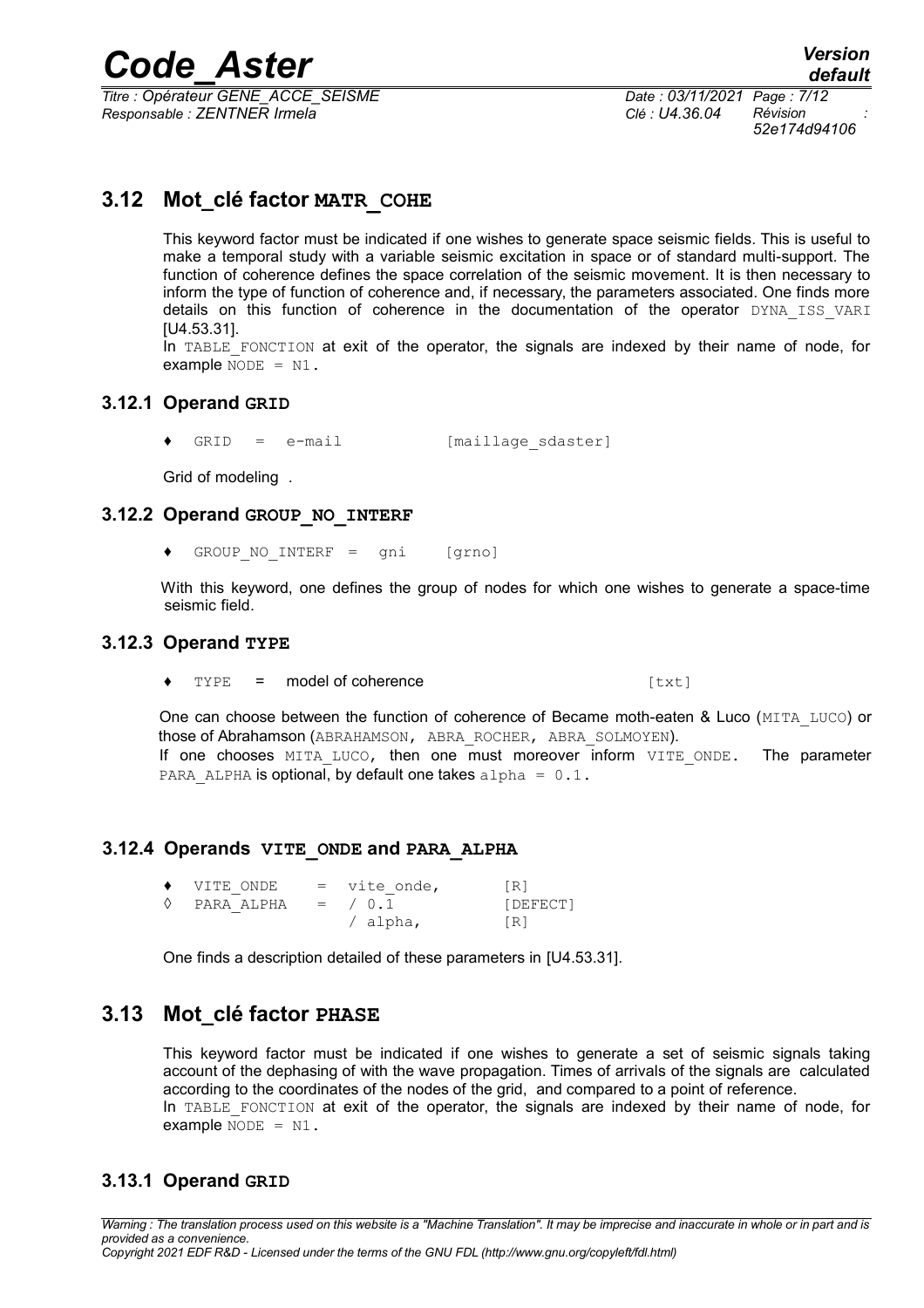*Titre : Opérateur GENE\_ACCE\_SEISME Date : 03/11/2021 Page : 7/12 Responsable : ZENTNER Irmela Clé : U4.36.04 Révision :*

*52e174d94106*

## **3.12 Mot\_clé factor MATR\_COHE**

This keyword factor must be indicated if one wishes to generate space seismic fields. This is useful to make a temporal study with a variable seismic excitation in space or of standard multi-support. The function of coherence defines the space correlation of the seismic movement. It is then necessary to inform the type of function of coherence and, if necessary, the parameters associated. One finds more details on this function of coherence in the documentation of the operator DYNA ISS VARI [U4.53.31].

In TABLE FONCTION at exit of the operator, the signals are indexed by their name of node, for example  $NODE = N1$ .

#### **3.12.1 Operand GRID**

GRID = e-mail [maillage sdaster]

Grid of modeling .

#### **3.12.2 Operand GROUP\_NO\_INTERF**

♦ GROUP\_NO\_INTERF = gni [grno]

With this keyword, one defines the group of nodes for which one wishes to generate a space-time seismic field.

#### **3.12.3 Operand TYPE**

 $TYPE = model of coherence$  [txt]

One can choose between the function of coherence of Became moth-eaten & Luco (MITA\_LUCO) or those of Abrahamson (ABRAHAMSON, ABRA\_ROCHER, ABRA\_SOLMOYEN). If one chooses MITA LUCO, then one must moreover inform VITE ONDE. The parameter PARA ALPHA is optional, by default one takes alpha =  $0.1$ .

#### **3.12.4 Operands VITE\_ONDE and PARA\_ALPHA**

| $\blacklozenge$ VITE ONDE     | = vite onde, | [R]        |
|-------------------------------|--------------|------------|
| $\Diamond$ PARA ALPHA = / 0.1 |              | [DEFECT]   |
|                               | $/$ alpha,   | $\sqrt{R}$ |

One finds a description detailed of these parameters in [U4.53.31].

## **3.13 Mot\_clé factor PHASE**

This keyword factor must be indicated if one wishes to generate a set of seismic signals taking account of the dephasing of with the wave propagation. Times of arrivals of the signals are calculated according to the coordinates of the nodes of the grid, and compared to a point of reference. In TABLE FONCTION at exit of the operator, the signals are indexed by their name of node, for example  $NODE = N1$ .

### **3.13.1 Operand GRID**

*Warning : The translation process used on this website is a "Machine Translation". It may be imprecise and inaccurate in whole or in part and is provided as a convenience. Copyright 2021 EDF R&D - Licensed under the terms of the GNU FDL (http://www.gnu.org/copyleft/fdl.html)*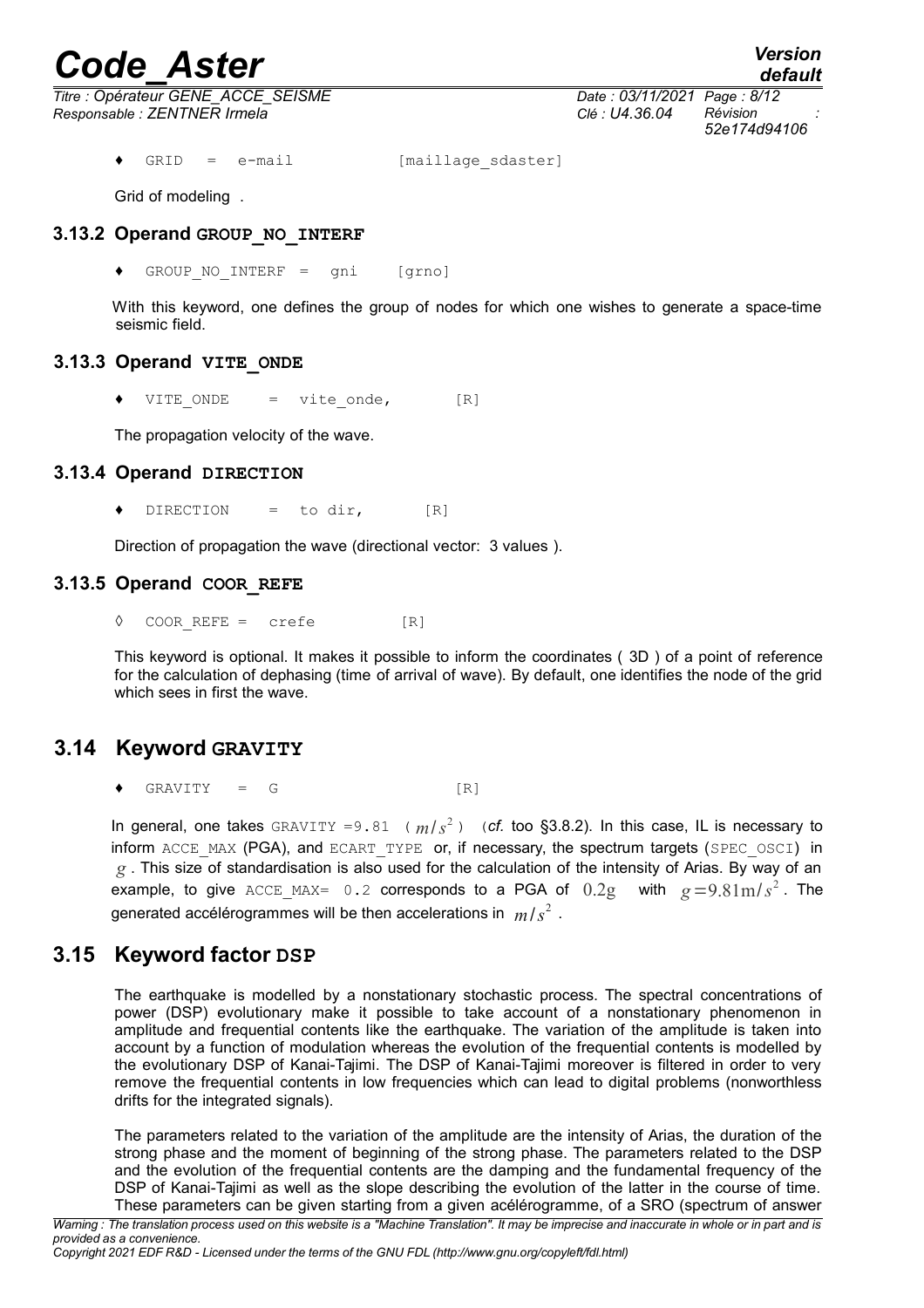*default*

*Titre : Opérateur GENE\_ACCE\_SEISME Date : 03/11/2021 Page : 8/12 Responsable : ZENTNER Irmela Clé : U4.36.04 Révision :*

GRID = e-mail [maillage sdaster]

Grid of modeling .

#### **3.13.2 Operand GROUP\_NO\_INTERF**

♦ GROUP\_NO\_INTERF = gni [grno]

With this keyword, one defines the group of nodes for which one wishes to generate a space-time seismic field.

#### **3.13.3 Operand VITE\_ONDE**

 $VITE ONDE$  = vite onde,  $[R]$ 

The propagation velocity of the wave.

#### **3.13.4 Operand DIRECTION**

 $DIRECTION = to dir.$  [R]

Direction of propagation the wave (directional vector: 3 values ).

#### **3.13.5 Operand COOR\_REFE**

 $\Diamond$  COORREFE = crefe [R]

This keyword is optional. It makes it possible to inform the coordinates ( 3D ) of a point of reference for the calculation of dephasing (time of arrival of wave). By default, one identifies the node of the grid which sees in first the wave.

## **3.14 Keyword GRAVITY**

 $GRAVITY = G$  [R]

In general, one takes  $GRAVITY = 9.81$  ( $m/s<sup>2</sup>$ ) (*cf.* too §3.8.2). In this case, IL is necessary to inform ACCE\_MAX (PGA), and ECART\_TYPE or, if necessary, the spectrum targets (SPEC\_OSCI) in *g* . This size of standardisation is also used for the calculation of the intensity of Arias. By way of an example, to give  $\text{ACCE\_MAX} = 0.2$  corresponds to a PGA of  $0.2g$  with  $g = 9.81 \text{m/s}^2$ . The generated accélérogrammes will be then accelerations in *m*/*s* 2 .

## **3.15 Keyword factor DSP**

The earthquake is modelled by a nonstationary stochastic process. The spectral concentrations of power (DSP) evolutionary make it possible to take account of a nonstationary phenomenon in amplitude and frequential contents like the earthquake. The variation of the amplitude is taken into account by a function of modulation whereas the evolution of the frequential contents is modelled by the evolutionary DSP of Kanai-Tajimi. The DSP of Kanai-Tajimi moreover is filtered in order to very remove the frequential contents in low frequencies which can lead to digital problems (nonworthless drifts for the integrated signals).

The parameters related to the variation of the amplitude are the intensity of Arias, the duration of the strong phase and the moment of beginning of the strong phase. The parameters related to the DSP and the evolution of the frequential contents are the damping and the fundamental frequency of the DSP of Kanai-Tajimi as well as the slope describing the evolution of the latter in the course of time. These parameters can be given starting from a given acélérogramme, of a SRO (spectrum of answer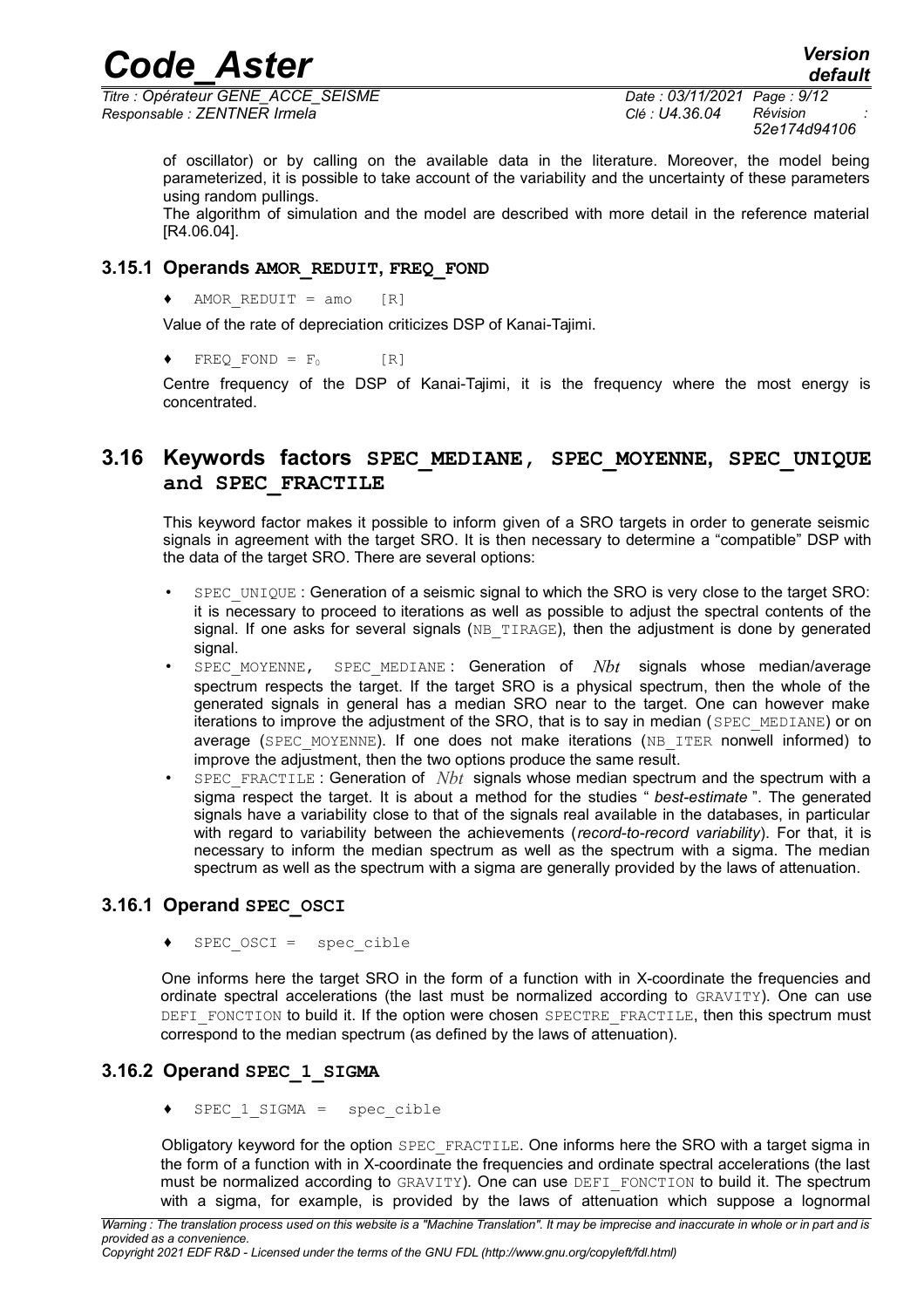*Titre : Opérateur GENE\_ACCE\_SEISME Date : 03/11/2021 Page : 9/12 Responsable : ZENTNER Irmela Clé : U4.36.04 Révision :*

*52e174d94106*

of oscillator) or by calling on the available data in the literature. Moreover, the model being parameterized, it is possible to take account of the variability and the uncertainty of these parameters using random pullings.

The algorithm of simulation and the model are described with more detail in the reference material [R4.06.04].

#### **3.15.1 Operands AMOR\_REDUIT, FREQ\_FOND**

 $\triangleleft$  AMOR REDUIT = amo [R]

Value of the rate of depreciation criticizes DSP of Kanai-Tajimi.

 $\blacklozenge$  FREQ FOND = F<sub>0</sub> [R]

Centre frequency of the DSP of Kanai-Tajimi, it is the frequency where the most energy is concentrated.

## **3.16 Keywords factors SPEC\_MEDIANE, SPEC\_MOYENNE, SPEC\_UNIQUE and SPEC\_FRACTILE**

This keyword factor makes it possible to inform given of a SRO targets in order to generate seismic signals in agreement with the target SRO. It is then necessary to determine a "compatible" DSP with the data of the target SRO. There are several options:

- SPEC UNIQUE: Generation of a seismic signal to which the SRO is very close to the target SRO: it is necessary to proceed to iterations as well as possible to adjust the spectral contents of the signal. If one asks for several signals (NB\_TIRAGE), then the adjustment is done by generated signal.
- SPEC MOYENNE, SPEC MEDIANE: Generation of *Nbt* signals whose median/average spectrum respects the target. If the target SRO is a physical spectrum, then the whole of the generated signals in general has a median SRO near to the target. One can however make iterations to improve the adjustment of the SRO, that is to say in median (SPEC\_MEDIANE) or on average (SPEC MOYENNE). If one does not make iterations (NB\_ITER nonwell informed) to improve the adjustment, then the two options produce the same result.
- SPEC FRACTILE : Generation of *Nbt* signals whose median spectrum and the spectrum with a sigma respect the target. It is about a method for the studies " *best-estimate* ". The generated signals have a variability close to that of the signals real available in the databases, in particular with regard to variability between the achievements (*record-to-record variability*). For that, it is necessary to inform the median spectrum as well as the spectrum with a sigma. The median spectrum as well as the spectrum with a sigma are generally provided by the laws of attenuation.

### **3.16.1 Operand SPEC\_OSCI**

 $SPEC$   $OSCI$  =  $spec\_cible$ 

One informs here the target SRO in the form of a function with in X-coordinate the frequencies and ordinate spectral accelerations (the last must be normalized according to GRAVITY). One can use DEFI FONCTION to build it. If the option were chosen SPECTRE FRACTILE, then this spectrum must correspond to the median spectrum (as defined by the laws of attenuation).

### **3.16.2 Operand SPEC\_1\_SIGMA**

♦ SPEC\_1\_SIGMA = spec\_cible

Obligatory keyword for the option SPEC\_FRACTILE. One informs here the SRO with a target sigma in the form of a function with in X-coordinate the frequencies and ordinate spectral accelerations (the last must be normalized according to GRAVITY). One can use DEFI\_FONCTION to build it. The spectrum with a sigma, for example, is provided by the laws of attenuation which suppose a lognormal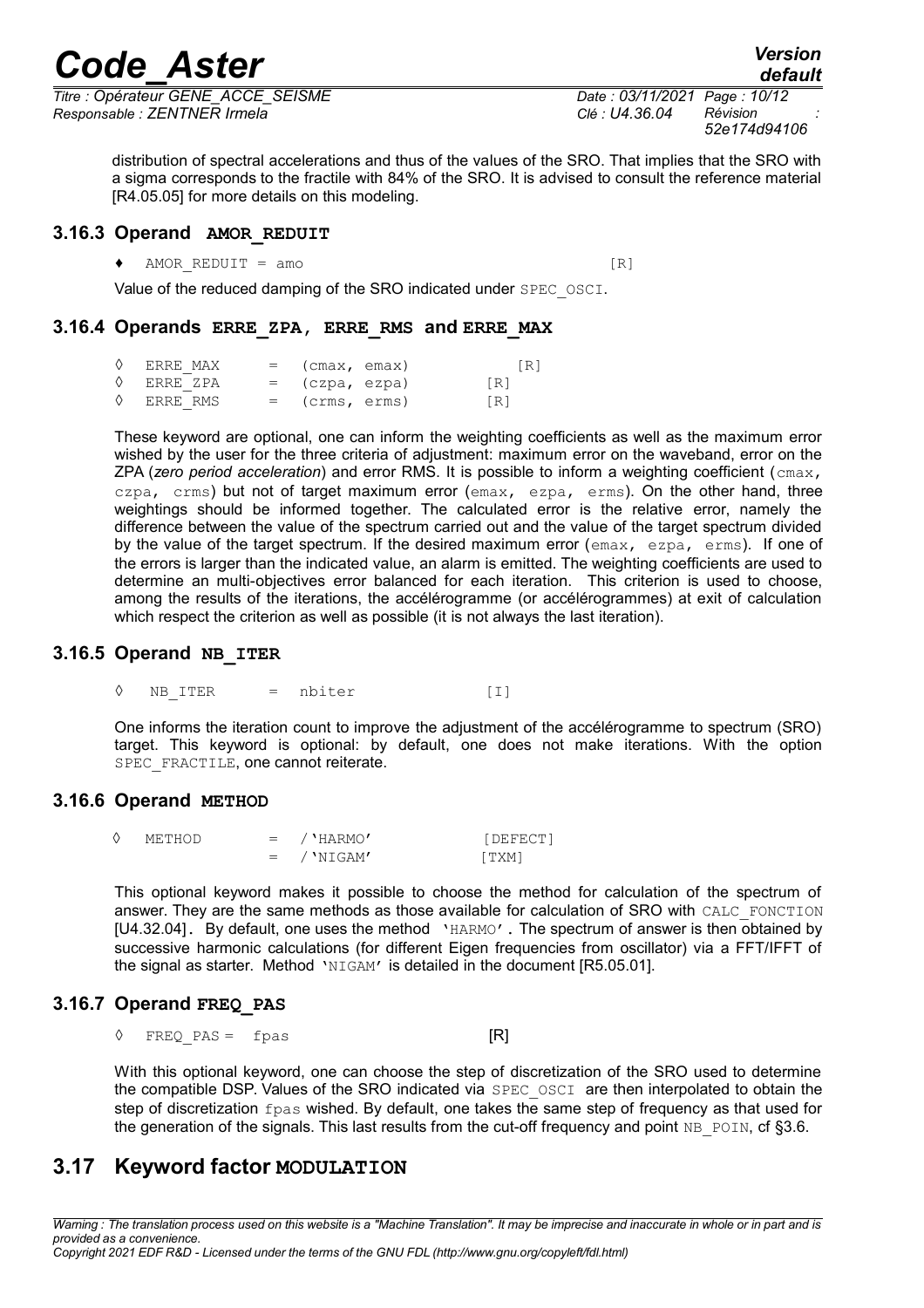*Titre : Opérateur GENE\_ACCE\_SEISME Date : 03/11/2021 Page : 10/12 Responsable : ZENTNER Irmela Clé : U4.36.04 Révision :*

distribution of spectral accelerations and thus of the values of the SRO. That implies that the SRO with a sigma corresponds to the fractile with 84% of the SRO. It is advised to consult the reference material [R4.05.05] for more details on this modeling.

#### **3.16.3 Operand AMOR\_REDUIT**

 $\blacklozenge$  AMOR REDUIT = amo [R]

Value of the reduced damping of the SRO indicated under SPEC\_OSCI.

#### **3.16.4 Operands ERRE\_ZPA, ERRE\_RMS and ERRE\_MAX**

| $\Diamond$ ERRE MAX | $=$ (cmax, emax) | [R] |
|---------------------|------------------|-----|
| $\Diamond$ ERRE ZPA | = (czpa, ezpa)   | IR1 |
| $\Diamond$ ERRE RMS | = (crms, erms)   | IR1 |

These keyword are optional, one can inform the weighting coefficients as well as the maximum error wished by the user for the three criteria of adjustment: maximum error on the waveband, error on the ZPA (*zero period acceleration*) and error RMS. It is possible to inform a weighting coefficient (cmax, czpa, crms) but not of target maximum error (emax, ezpa, erms). On the other hand, three weightings should be informed together. The calculated error is the relative error, namely the difference between the value of the spectrum carried out and the value of the target spectrum divided by the value of the target spectrum. If the desired maximum error ( $\epsilon_{\text{max}}$ ,  $\epsilon_{\text{zpa}}$ ,  $\epsilon_{\text{rms}}$ ). If one of the errors is larger than the indicated value, an alarm is emitted. The weighting coefficients are used to determine an multi-objectives error balanced for each iteration. This criterion is used to choose, among the results of the iterations, the accélérogramme (or accélérogrammes) at exit of calculation which respect the criterion as well as possible (it is not always the last iteration).

#### **3.16.5 Operand NB\_ITER**

◊ NB\_ITER = nbiter [I]

One informs the iteration count to improve the adjustment of the accélérogramme to spectrum (SRO) target. This keyword is optional: by default, one does not make iterations. With the option SPEC\_FRACTILE, one cannot reiterate.

#### **3.16.6 Operand METHOD**

| METHOD | $=$ / $'HARMO'$  | <i>i</i> DEFECT' |
|--------|------------------|------------------|
|        | $=$ / $'$ NTGAM' | f TXM'           |

This optional keyword makes it possible to choose the method for calculation of the spectrum of answer. They are the same methods as those available for calculation of SRO with CALC\_FONCTION [U4.32.04]. By default, one uses the method 'HARMO'. The spectrum of answer is then obtained by successive harmonic calculations (for different Eigen frequencies from oscillator) via a FFT/IFFT of the signal as starter. Method 'NIGAM' is detailed in the document [R5.05.01].

### **3.16.7 Operand FREQ\_PAS**

 $\Diamond$  FREQ PAS = fpas [R]

With this optional keyword, one can choose the step of discretization of the SRO used to determine the compatible DSP. Values of the SRO indicated via SPEC OSCI are then interpolated to obtain the step of discretization fpas wished. By default, one takes the same step of frequency as that used for the generation of the signals. This last results from the cut-off frequency and point  $NB$  POIN, cf [§3.6.](#page-4-0)

## **3.17 Keyword factor MODULATION**

*Warning : The translation process used on this website is a "Machine Translation". It may be imprecise and inaccurate in whole or in part and is provided as a convenience. Copyright 2021 EDF R&D - Licensed under the terms of the GNU FDL (http://www.gnu.org/copyleft/fdl.html)*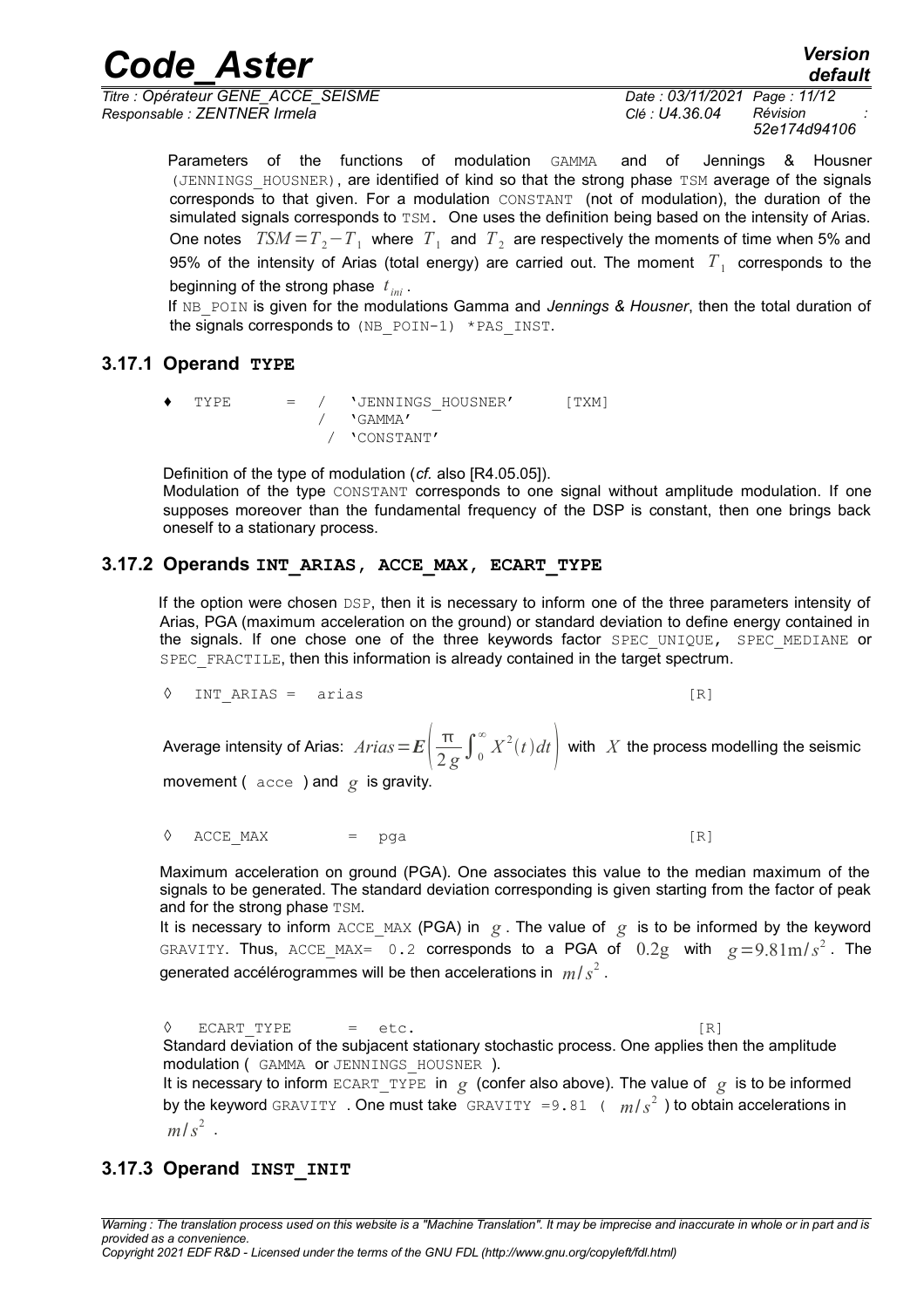*Titre : Opérateur GENE\_ACCE\_SEISME Date : 03/11/2021 Page : 11/12 Responsable : ZENTNER Irmela Clé : U4.36.04 Révision :*

*52e174d94106*

*default*

Parameters of the functions of modulation GAMMA and of Jennings & Housner (JENNINGS HOUSNER), are identified of kind so that the strong phase TSM average of the signals corresponds to that given. For a modulation CONSTANT (not of modulation), the duration of the simulated signals corresponds to TSM. One uses the definition being based on the intensity of Arias. One notes  $TSM = T_2 - T_1$  where  $T_1$  and  $T_2$  are respectively the moments of time when 5% and 95% of the intensity of Arias (total energy) are carried out. The moment  $|T_{\rm 1}|$  corresponds to the beginning of the strong phase *t ini* .

If NB POIN is given for the modulations Gamma and *Jennings & Housner*, then the total duration of the signals corresponds to  $(NB$  POIN-1) \*PAS INST.

#### **3.17.1 Operand TYPE**

♦ TYPE = / 'JENNINGS\_HOUSNER' [TXM] / 'GAMMA' / 'CONSTANT'

Definition of the type of modulation (*cf.* also [R4.05.05]). Modulation of the type CONSTANT corresponds to one signal without amplitude modulation. If one supposes moreover than the fundamental frequency of the DSP is constant, then one brings back oneself to a stationary process.

### **3.17.2 Operands INT\_ARIAS, ACCE\_MAX, ECART\_TYPE**

If the option were chosen DSP, then it is necessary to inform one of the three parameters intensity of Arias, PGA (maximum acceleration on the ground) or standard deviation to define energy contained in the signals. If one chose one of the three keywords factor SPEC UNIQUE, SPEC MEDIANE or SPEC FRACTILE, then this information is already contained in the target spectrum.

◊ INT\_ARIAS = arias [R]

Average intensity of Arias:  $\textit{Arias}$  =  $E\Big(\frac{\pi}{2\textit{s}}\Big)$  $\left(\frac{\pi}{2\,g}\int_{0}^{\infty}X^{2}(t)dt\right)$  with  $\,X$  the process modelling the seismic

movement ( acce ) and *g* is gravity.

 $\Diamond$  ACCE MAX = pga [R]

Maximum acceleration on ground (PGA). One associates this value to the median maximum of the signals to be generated. The standard deviation corresponding is given starting from the factor of peak and for the strong phase TSM.

It is necessary to inform ACCE\_MAX (PGA) in  $g$ . The value of  $g$  is to be informed by the keyword GRAVITY. Thus, ACCE\_MAX= 0.2 corresponds to a PGA of  $0.2g$  with  $g=9.81\text{m/s}^2$ . The generated accélérogrammes will be then accelerations in *m*/*s* 2 .

 $\Diamond$  ECART TYPE = etc. [R] Standard deviation of the subjacent stationary stochastic process. One applies then the amplitude modulation ( GAMMA or JENNINGS\_HOUSNER ). It is necessary to inform ECART\_TYPE in  $g$  (confer also above). The value of  $g$  is to be informed by the keyword <code>GRAVITY . One</code> must take <code>GRAVITY =9.81</code> (  $\mid m/s^{2}$  ) to obtain accelerations in  $m/s<sup>2</sup>$ .

## **3.17.3 Operand INST\_INIT**

*Warning : The translation process used on this website is a "Machine Translation". It may be imprecise and inaccurate in whole or in part and is provided as a convenience.*